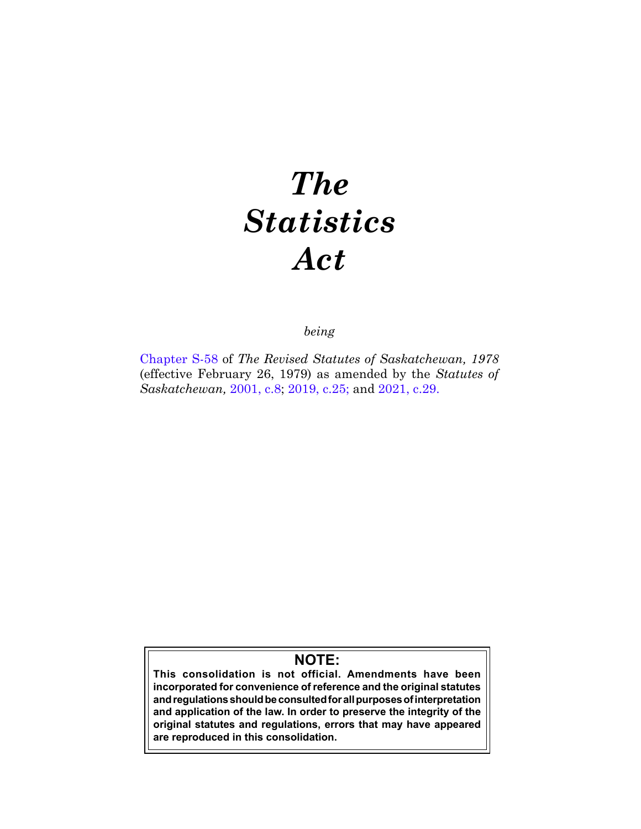# *The Statistics Act*

*being*

[Chapter S-58](https://publications.saskatchewan.ca:443/api/v1/products/64547/formats/71817/download) of *The Revised Statutes of Saskatchewan, 1978*  (effective February 26, 1979) as amended by the *Statutes of Saskatchewan,* [2001, c.8](https://publications.saskatchewan.ca:443/api/v1/products/3392/formats/6375/download); [2019, c.25;](https://publications.saskatchewan.ca:443/api/v1/products/101569/formats/112303/download) and [2021, c.29.](https://publications.saskatchewan.ca:443/api/v1/products/113475/formats/127615/download)

# **NOTE:**

**This consolidation is not official. Amendments have been incorporated for convenience of reference and the original statutes and regulations should be consulted for all purposes of interpretation and application of the law. In order to preserve the integrity of the original statutes and regulations, errors that may have appeared are reproduced in this consolidation.**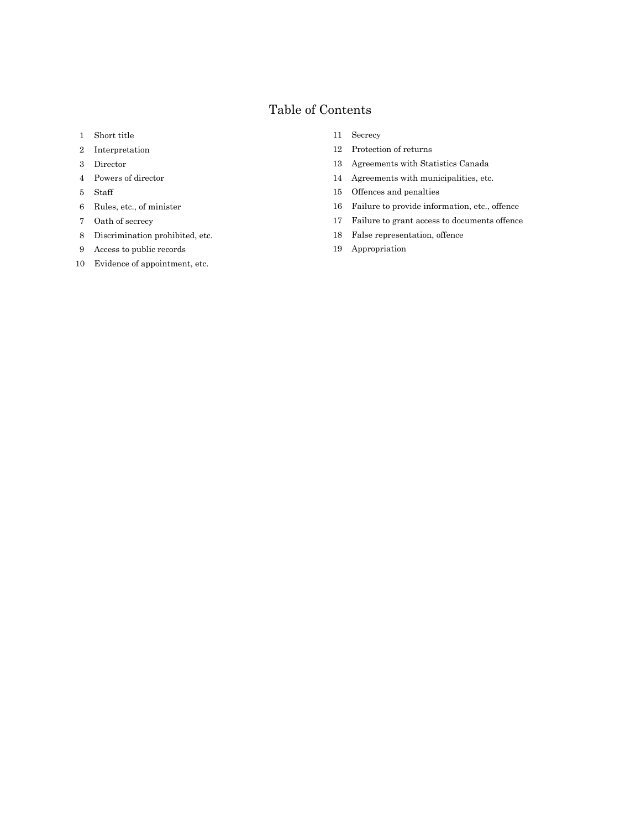## Table of Contents

- Short title
- Interpretation
- Director
- Powers of director
- Staff
- Rules, etc., of minister
- Oath of secrecy
- Discrimination prohibited, etc.
- Access to public records
- Evidence of appointment, etc.

#### Secrecy

- Protection of returns
- Agreements with Statistics Canada
- Agreements with municipalities, etc.
- Offences and penalties
- Failure to provide information, etc., offence
- Failure to grant access to documents offence
- False representation, offence
- Appropriation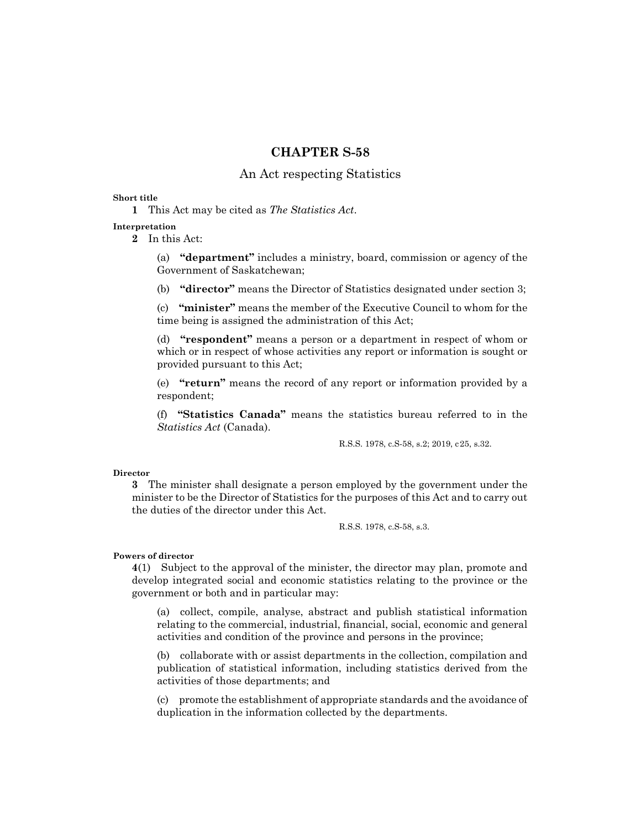### **CHAPTER S-58**

#### An Act respecting Statistics

#### **Short title**

**1** This Act may be cited as *The Statistics Act*.

#### **Interpretation**

**2** In this Act:

(a) **"department"** includes a ministry, board, commission or agency of the Government of Saskatchewan;

(b) **"director"** means the Director of Statistics designated under section 3;

(c) **"minister"** means the member of the Executive Council to whom for the time being is assigned the administration of this Act;

(d) **"respondent"** means a person or a department in respect of whom or which or in respect of whose activities any report or information is sought or provided pursuant to this Act;

(e) **"return"** means the record of any report or information provided by a respondent;

(f) **"Statistics Canada"** means the statistics bureau referred to in the *Statistics Act* (Canada).

R.S.S. 1978, c.S-58, s.2; 2019, c25, s.32.

#### **Director**

**3** The minister shall designate a person employed by the government under the minister to be the Director of Statistics for the purposes of this Act and to carry out the duties of the director under this Act.

R.S.S. 1978, c.S-58, s.3.

#### **Powers of director**

**4**(1) Subject to the approval of the minister, the director may plan, promote and develop integrated social and economic statistics relating to the province or the government or both and in particular may:

(a) collect, compile, analyse, abstract and publish statistical information relating to the commercial, industrial, financial, social, economic and general activities and condition of the province and persons in the province;

(b) collaborate with or assist departments in the collection, compilation and publication of statistical information, including statistics derived from the activities of those departments; and

(c) promote the establishment of appropriate standards and the avoidance of duplication in the information collected by the departments.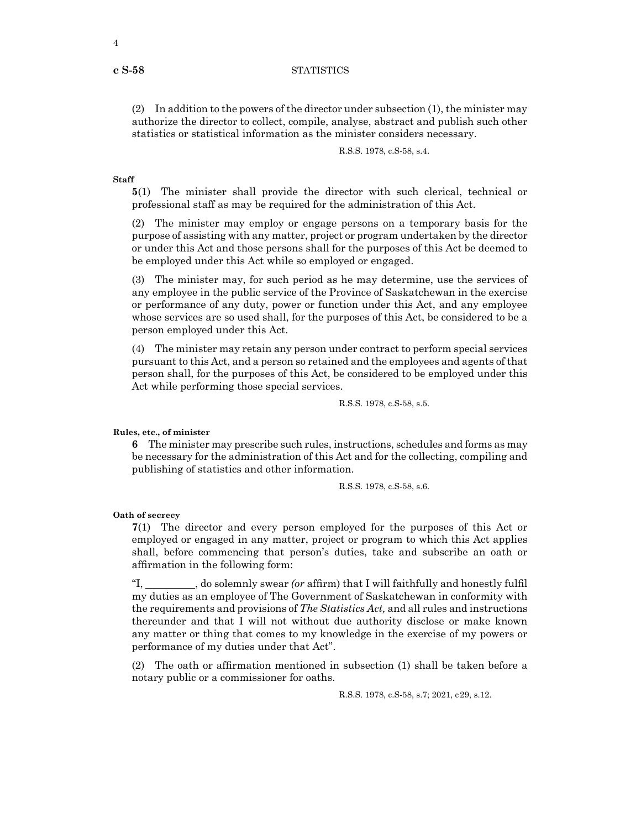#### **c S-58** STATISTICS

(2) In addition to the powers of the director under subsection (1), the minister may authorize the director to collect, compile, analyse, abstract and publish such other statistics or statistical information as the minister considers necessary.

```
R.S.S. 1978, c.S-58, s.4.
```
#### **Staff**

**5**(1) The minister shall provide the director with such clerical, technical or professional staff as may be required for the administration of this Act.

(2) The minister may employ or engage persons on a temporary basis for the purpose of assisting with any matter, project or program undertaken by the director or under this Act and those persons shall for the purposes of this Act be deemed to be employed under this Act while so employed or engaged.

(3) The minister may, for such period as he may determine, use the services of any employee in the public service of the Province of Saskatchewan in the exercise or performance of any duty, power or function under this Act, and any employee whose services are so used shall, for the purposes of this Act, be considered to be a person employed under this Act.

(4) The minister may retain any person under contract to perform special services pursuant to this Act, and a person so retained and the employees and agents of that person shall, for the purposes of this Act, be considered to be employed under this Act while performing those special services.

R.S.S. 1978, c.S-58, s.5.

#### **Rules, etc., of minister**

**6** The minister may prescribe such rules, instructions, schedules and forms as may be necessary for the administration of this Act and for the collecting, compiling and publishing of statistics and other information.

R.S.S. 1978, c.S-58, s.6.

#### **Oath of secrecy**

**7**(1) The director and every person employed for the purposes of this Act or employed or engaged in any matter, project or program to which this Act applies shall, before commencing that person's duties, take and subscribe an oath or affirmation in the following form:

"I, \_\_\_\_\_\_\_, do solemnly swear *(or* affirm) that I will faithfully and honestly fulfil my duties as an employee of The Government of Saskatchewan in conformity with the requirements and provisions of *The Statistics Act,* and all rules and instructions thereunder and that I will not without due authority disclose or make known any matter or thing that comes to my knowledge in the exercise of my powers or performance of my duties under that Act".

(2) The oath or affirmation mentioned in subsection (1) shall be taken before a notary public or a commissioner for oaths.

R.S.S. 1978, c.S-58, s.7; 2021, c29, s.12.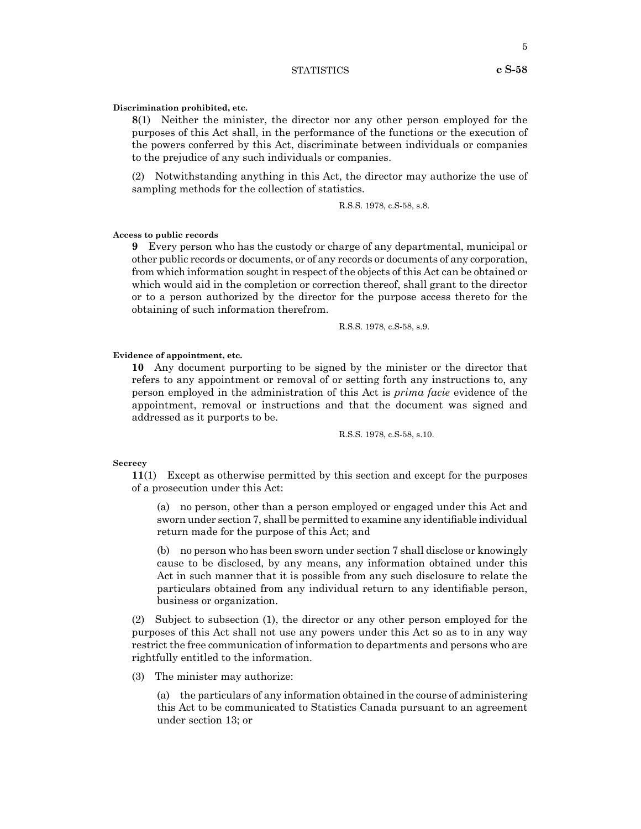#### STATISTICS **c S-58**

#### **Discrimination prohibited, etc.**

**8**(1) Neither the minister, the director nor any other person employed for the purposes of this Act shall, in the performance of the functions or the execution of the powers conferred by this Act, discriminate between individuals or companies to the prejudice of any such individuals or companies.

(2) Notwithstanding anything in this Act, the director may authorize the use of sampling methods for the collection of statistics.

R.S.S. 1978, c.S-58, s.8.

#### **Access to public records**

**9** Every person who has the custody or charge of any departmental, municipal or other public records or documents, or of any records or documents of any corporation, from which information sought in respect of the objects of this Act can be obtained or which would aid in the completion or correction thereof, shall grant to the director or to a person authorized by the director for the purpose access thereto for the obtaining of such information therefrom.

R.S.S. 1978, c.S-58, s.9.

#### **Evidence of appointment, etc.**

**10** Any document purporting to be signed by the minister or the director that refers to any appointment or removal of or setting forth any instructions to, any person employed in the administration of this Act is *prima facie* evidence of the appointment, removal or instructions and that the document was signed and addressed as it purports to be.

R.S.S. 1978, c.S-58, s.10.

#### **Secrecy**

**11**(1) Except as otherwise permitted by this section and except for the purposes of a prosecution under this Act:

(a) no person, other than a person employed or engaged under this Act and sworn under section 7, shall be permitted to examine any identifiable individual return made for the purpose of this Act; and

(b) no person who has been sworn under section 7 shall disclose or knowingly cause to be disclosed, by any means, any information obtained under this Act in such manner that it is possible from any such disclosure to relate the particulars obtained from any individual return to any identifiable person, business or organization.

(2) Subject to subsection (1), the director or any other person employed for the purposes of this Act shall not use any powers under this Act so as to in any way restrict the free communication of information to departments and persons who are rightfully entitled to the information.

(3) The minister may authorize:

(a) the particulars of any information obtained in the course of administering this Act to be communicated to Statistics Canada pursuant to an agreement under section 13; or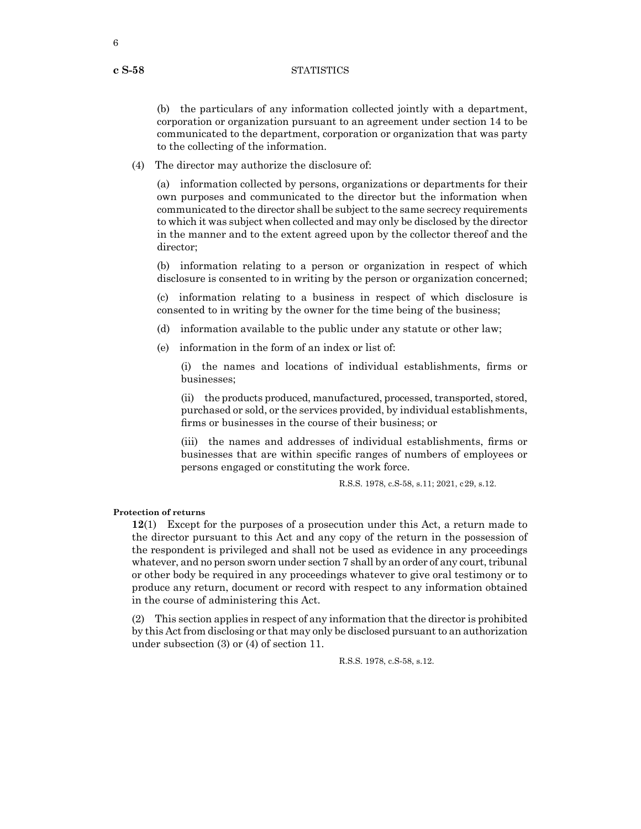#### **c S-58** STATISTICS

(b) the particulars of any information collected jointly with a department, corporation or organization pursuant to an agreement under section 14 to be communicated to the department, corporation or organization that was party to the collecting of the information.

(4) The director may authorize the disclosure of:

(a) information collected by persons, organizations or departments for their own purposes and communicated to the director but the information when communicated to the director shall be subject to the same secrecy requirements to which it was subject when collected and may only be disclosed by the director in the manner and to the extent agreed upon by the collector thereof and the director;

(b) information relating to a person or organization in respect of which disclosure is consented to in writing by the person or organization concerned;

(c) information relating to a business in respect of which disclosure is consented to in writing by the owner for the time being of the business;

(d) information available to the public under any statute or other law;

(e) information in the form of an index or list of:

(i) the names and locations of individual establishments, firms or businesses;

(ii) the products produced, manufactured, processed, transported, stored, purchased or sold, or the services provided, by individual establishments, firms or businesses in the course of their business; or

(iii) the names and addresses of individual establishments, firms or businesses that are within specific ranges of numbers of employees or persons engaged or constituting the work force.

R.S.S. 1978, c.S-58, s.11; 2021, c29, s.12.

#### **Protection of returns**

**12**(1) Except for the purposes of a prosecution under this Act, a return made to the director pursuant to this Act and any copy of the return in the possession of the respondent is privileged and shall not be used as evidence in any proceedings whatever, and no person sworn under section 7 shall by an order of any court, tribunal or other body be required in any proceedings whatever to give oral testimony or to produce any return, document or record with respect to any information obtained in the course of administering this Act.

(2) This section applies in respect of any information that the director is prohibited by this Act from disclosing or that may only be disclosed pursuant to an authorization under subsection (3) or (4) of section 11.

R.S.S. 1978, c.S-58, s.12.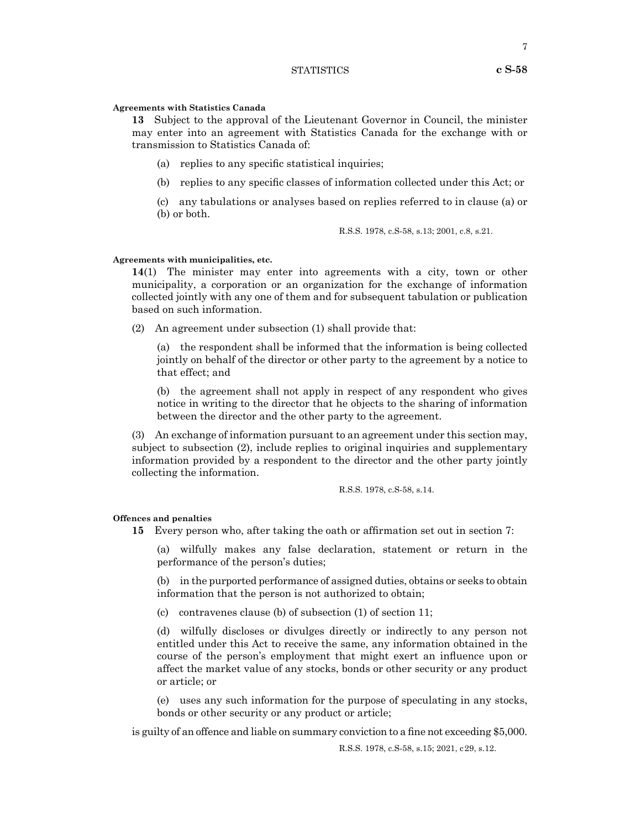#### STATISTICS **c S-58**

#### **Agreements with Statistics Canada**

**13** Subject to the approval of the Lieutenant Governor in Council, the minister may enter into an agreement with Statistics Canada for the exchange with or transmission to Statistics Canada of:

- (a) replies to any specific statistical inquiries;
- (b) replies to any specific classes of information collected under this Act; or
- (c) any tabulations or analyses based on replies referred to in clause (a) or (b) or both.

R.S.S. 1978, c.S-58, s.13; 2001, c.8, s.21.

#### **Agreements with municipalities, etc.**

**14**(1) The minister may enter into agreements with a city, town or other municipality, a corporation or an organization for the exchange of information collected jointly with any one of them and for subsequent tabulation or publication based on such information.

(2) An agreement under subsection (1) shall provide that:

(a) the respondent shall be informed that the information is being collected jointly on behalf of the director or other party to the agreement by a notice to that effect; and

(b) the agreement shall not apply in respect of any respondent who gives notice in writing to the director that he objects to the sharing of information between the director and the other party to the agreement.

(3) An exchange of information pursuant to an agreement under this section may, subject to subsection (2), include replies to original inquiries and supplementary information provided by a respondent to the director and the other party jointly collecting the information.

R.S.S. 1978, c.S-58, s.14.

#### **Offences and penalties**

**15** Every person who, after taking the oath or affirmation set out in section 7:

(a) wilfully makes any false declaration, statement or return in the performance of the person's duties;

(b) in the purported performance of assigned duties, obtains or seeks to obtain information that the person is not authorized to obtain;

(c) contravenes clause (b) of subsection (1) of section 11;

(d) wilfully discloses or divulges directly or indirectly to any person not entitled under this Act to receive the same, any information obtained in the course of the person's employment that might exert an influence upon or affect the market value of any stocks, bonds or other security or any product or article; or

(e) uses any such information for the purpose of speculating in any stocks, bonds or other security or any product or article;

is guilty of an offence and liable on summary conviction to a fine not exceeding \$5,000.

R.S.S. 1978, c.S-58, s.15; 2021, c29, s.12.